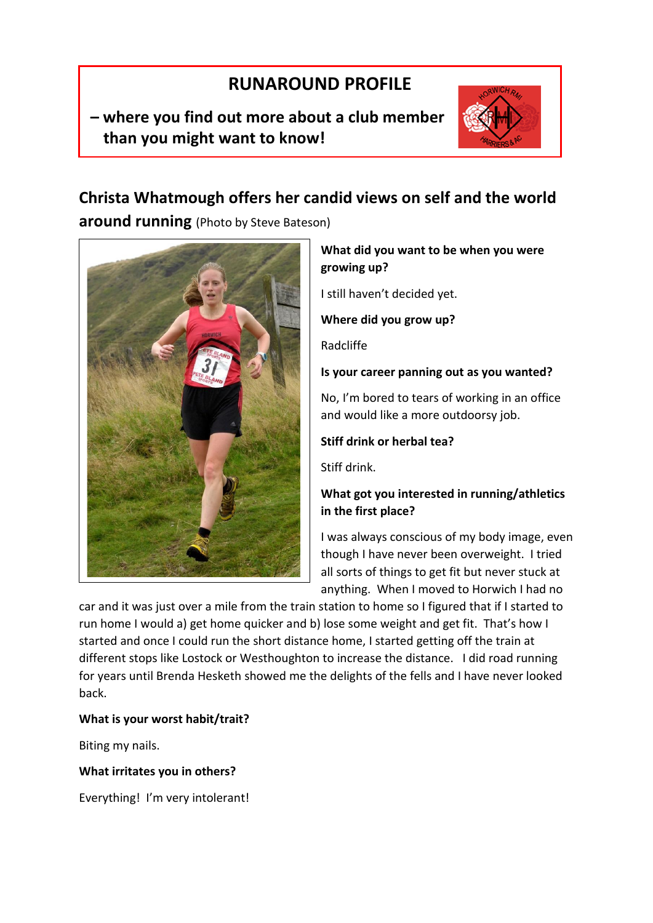# **RUNAROUND PROFILE**

## **– where you find out more about a club member than you might want to know!**



## **Christa Whatmough offers her candid views on self and the world**

**around running** (Photo by Steve Bateson)



### **What did you want to be when you were growing up?**

I still haven't decided yet.

**Where did you grow up?**

Radcliffe

## **Is your career panning out as you wanted?**

No, I'm bored to tears of working in an office and would like a more outdoorsy job.

## **Stiff drink or herbal tea?**

Stiff drink.

## **What got you interested in running/athletics in the first place?**

I was always conscious of my body image, even though I have never been overweight. I tried all sorts of things to get fit but never stuck at anything. When I moved to Horwich I had no

car and it was just over a mile from the train station to home so I figured that if I started to run home I would a) get home quicker and b) lose some weight and get fit. That's how I started and once I could run the short distance home, I started getting off the train at different stops like Lostock or Westhoughton to increase the distance. I did road running for years until Brenda Hesketh showed me the delights of the fells and I have never looked back.

## **What is your worst habit/trait?**

Biting my nails.

### **What irritates you in others?**

Everything! I'm very intolerant!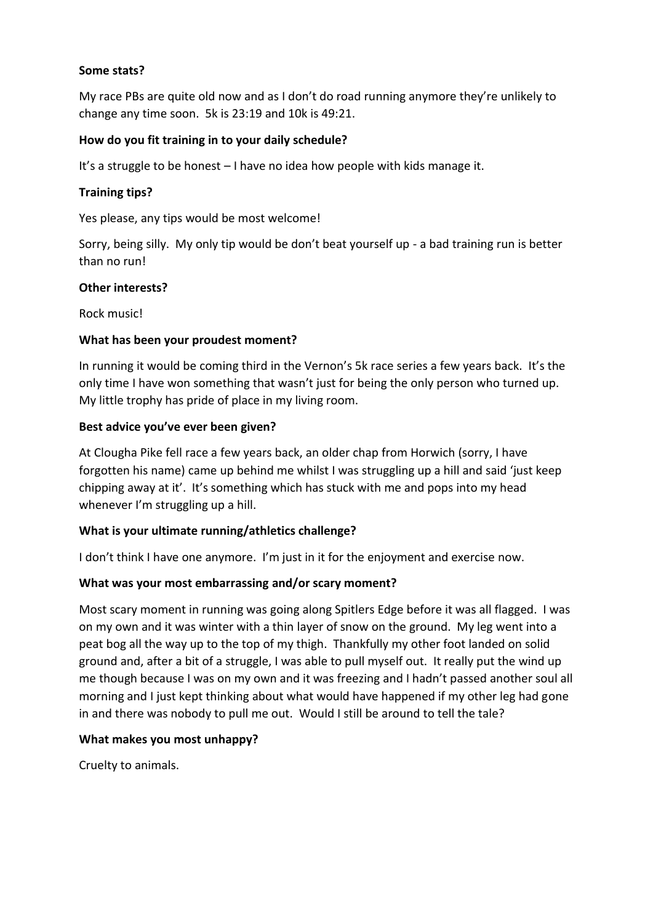#### **Some stats?**

My race PBs are quite old now and as I don't do road running anymore they're unlikely to change any time soon. 5k is 23:19 and 10k is 49:21.

#### **How do you fit training in to your daily schedule?**

It's a struggle to be honest – I have no idea how people with kids manage it.

#### **Training tips?**

Yes please, any tips would be most welcome!

Sorry, being silly. My only tip would be don't beat yourself up - a bad training run is better than no run!

#### **Other interests?**

Rock music!

#### **What has been your proudest moment?**

In running it would be coming third in the Vernon's 5k race series a few years back. It's the only time I have won something that wasn't just for being the only person who turned up. My little trophy has pride of place in my living room.

#### **Best advice you've ever been given?**

At Clougha Pike fell race a few years back, an older chap from Horwich (sorry, I have forgotten his name) came up behind me whilst I was struggling up a hill and said 'just keep chipping away at it'. It's something which has stuck with me and pops into my head whenever I'm struggling up a hill.

#### **What is your ultimate running/athletics challenge?**

I don't think I have one anymore. I'm just in it for the enjoyment and exercise now.

#### **What was your most embarrassing and/or scary moment?**

Most scary moment in running was going along Spitlers Edge before it was all flagged. I was on my own and it was winter with a thin layer of snow on the ground. My leg went into a peat bog all the way up to the top of my thigh. Thankfully my other foot landed on solid ground and, after a bit of a struggle, I was able to pull myself out. It really put the wind up me though because I was on my own and it was freezing and I hadn't passed another soul all morning and I just kept thinking about what would have happened if my other leg had gone in and there was nobody to pull me out. Would I still be around to tell the tale?

#### **What makes you most unhappy?**

Cruelty to animals.